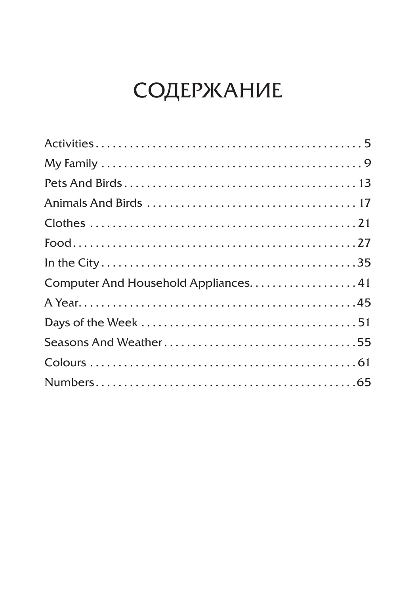## СОДЕРЖАНИЕ

| Computer And Household Appliances41 |  |
|-------------------------------------|--|
|                                     |  |
|                                     |  |
|                                     |  |
|                                     |  |
|                                     |  |
|                                     |  |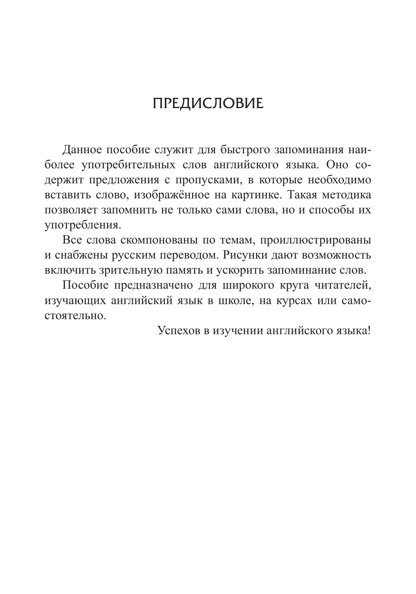## Предисловие

Данное пособие служит для быстрого запоминания наиболее употребительных слов английского языка. Оно содержит предложения с пропусками, в которые необходимо вставить слово, изображённое на картинке. Такая методика позволяет запомнить не только сами слова, но и способы их употребления. 

Все слова скомпонованы по темам, проиллюстрированы и снабжены русским переводом. Рисунки дают возможность включить зрительную память и ускорить запоминание слов.

Пособие предназначено для широкого круга читателей, изучающих английский язык в школе, на курсах или самостоятельно. 

Успехов в изучении английского языка!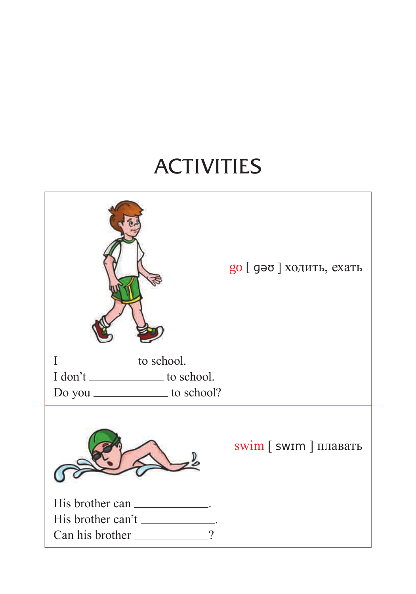## ACTIVITIES

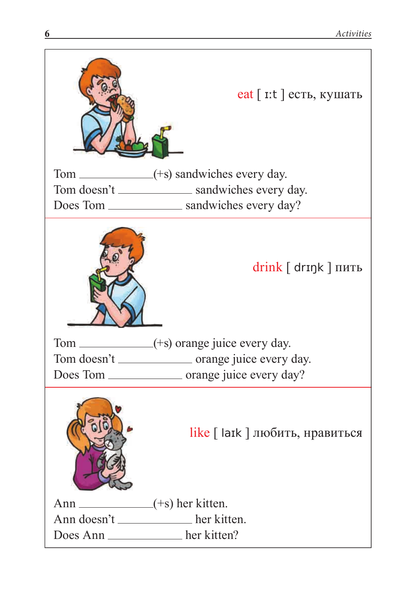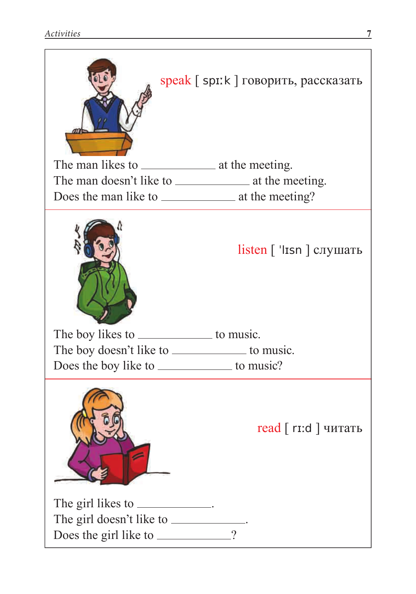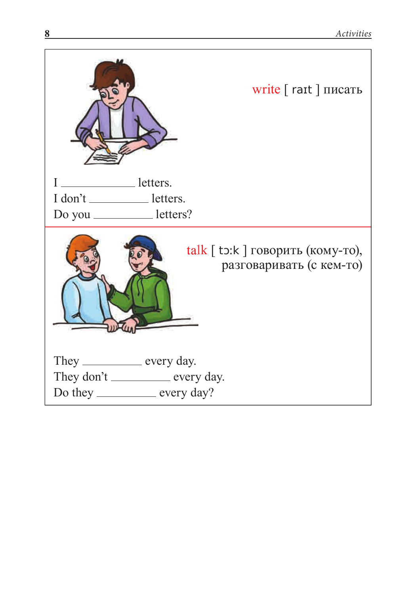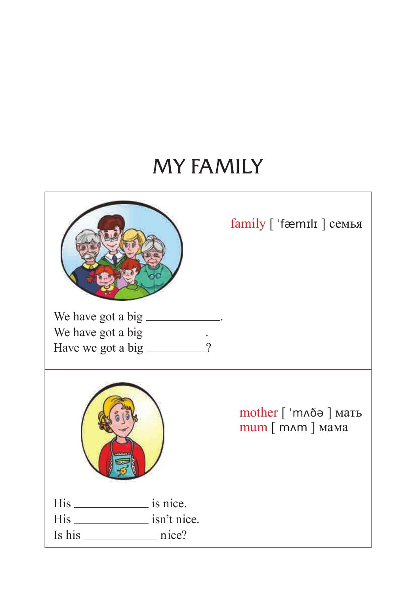## MY FAMILY

|                                                                                                   | $family$ [ 'fæmili ] семья                              |
|---------------------------------------------------------------------------------------------------|---------------------------------------------------------|
| We have got a big _____________.<br>We have got a big __________.<br>Have we got a big _________? |                                                         |
|                                                                                                   | mother [ 'mлðә ] мать<br>тит $\lceil$ тлт $\rceil$ мама |
| His _________________ isn't nice.                                                                 |                                                         |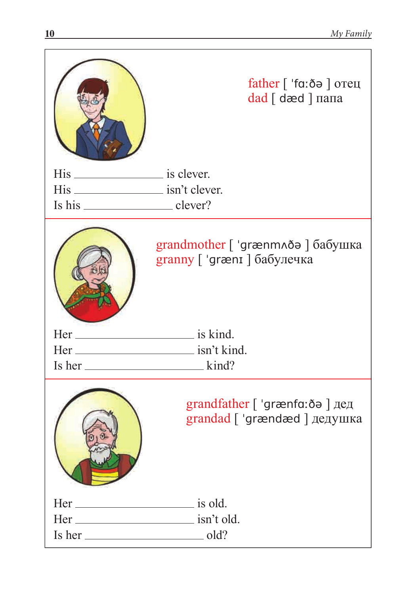|                                        | father $\lceil$ 'fa: $\delta \theta$ $\rceil$ ore u<br>dad [ dæd ] папа |  |  |
|----------------------------------------|-------------------------------------------------------------------------|--|--|
| His _______________________ is clever. |                                                                         |  |  |
|                                        |                                                                         |  |  |
|                                        |                                                                         |  |  |
|                                        | grandmother [ 'grænmлðә ] бабушка<br>granny [ 'grænɪ ] бабулечка        |  |  |
|                                        |                                                                         |  |  |
|                                        |                                                                         |  |  |
| $Is her _______ kind?$                 |                                                                         |  |  |
|                                        | grandfather [ 'grænfɑːðə ] дед<br>grandad [ 'grændæd ] дедушка          |  |  |
| $Her_$ is old.                         |                                                                         |  |  |
|                                        |                                                                         |  |  |
|                                        |                                                                         |  |  |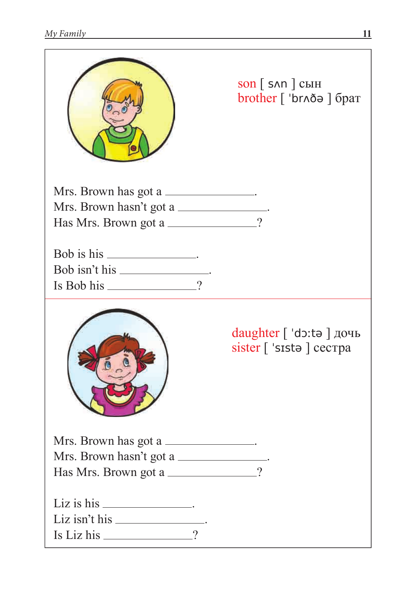|                                                                                        |          | $\text{son}$ $\left[$ snn $\right]$ cын<br>brother [ 'brʌðə ] брат |
|----------------------------------------------------------------------------------------|----------|--------------------------------------------------------------------|
| Mrs. Brown has got a<br>Mrs. Brown hasn't got a<br>Has Mrs. Brown got a _____________? |          |                                                                    |
| Bob isn't his _______________.<br>$Is Bob his ______$ ?                                |          |                                                                    |
|                                                                                        |          | daughter [ 'doːtə ] дочь<br>sister [ 'sista ] cecrpa               |
| Mrs. Brown has got a<br>Mrs. Brown hasn't got a<br>Has Mrs. Brown got a ____________?  |          |                                                                    |
| Liz is his __________________.<br>Is Liz his                                           | $\gamma$ |                                                                    |